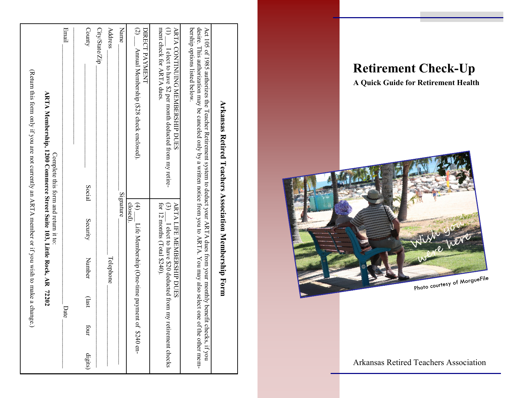# **Retirement Check-Up**

**A Quick Guide for Retirement Health**



Arkansas Retired Teachers Association